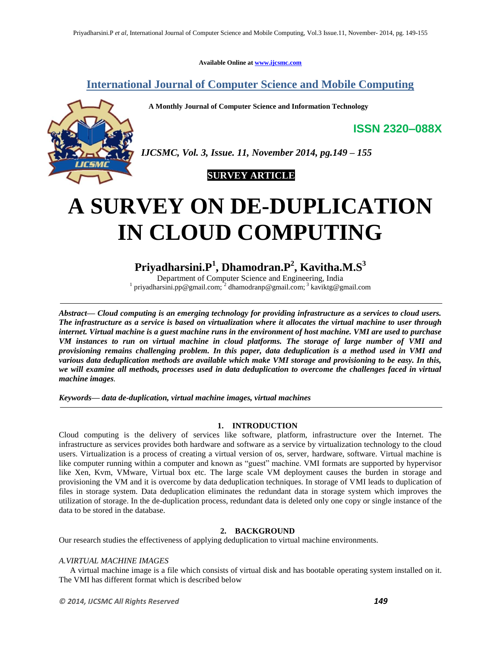**Available Online at www.ijcsmc.com**

# **International Journal of Computer Science and Mobile Computing**

 **A Monthly Journal of Computer Science and Information Technology**

*IJCSMC, Vol. 3, Issue. 11, November 2014, pg.149 – 155*

# **SURVEY ARTICLE**

# **A SURVEY ON DE-DUPLICATION IN CLOUD COMPUTING**

# **Priyadharsini.P<sup>1</sup> , Dhamodran.P<sup>2</sup> , Kavitha.M.S<sup>3</sup>**

Department of Computer Science and Engineering, India <sup>1</sup> priyadharsini.pp@gmail.com; <sup>2</sup> dhamodranp@gmail.com; <sup>3</sup> kaviktg@gmail.com

*Abstract— Cloud computing is an emerging technology for providing infrastructure as a services to cloud users. The infrastructure as a service is based on virtualization where it allocates the virtual machine to user through internet. Virtual machine is a guest machine runs in the environment of host machine. VMI are used to purchase VM instances to run on virtual machine in cloud platforms. The storage of large number of VMI and provisioning remains challenging problem. In this paper, data deduplication is a method used in VMI and various data deduplication methods are available which make VMI storage and provisioning to be easy. In this, we will examine all methods, processes used in data deduplication to overcome the challenges faced in virtual machine images.*

*Keywords— data de-duplication, virtual machine images, virtual machines*

# **1. INTRODUCTION**

Cloud computing is the delivery of services like software, platform, infrastructure over the Internet. The infrastructure as services provides both hardware and software as a service by virtualization technology to the cloud users. Virtualization is a process of creating a virtual version of os, server, hardware, software. Virtual machine is like computer running within a computer and known as "guest" machine. VMI formats are supported by hypervisor like Xen, Kvm, VMware, Virtual box etc. The large scale VM deployment causes the burden in storage and provisioning the VM and it is overcome by data deduplication techniques. In storage of VMI leads to duplication of files in storage system. Data deduplication eliminates the redundant data in storage system which improves the utilization of storage. In the de-duplication process, redundant data is deleted only one copy or single instance of the data to be stored in the database.

# **2. BACKGROUND**

Our research studies the effectiveness of applying deduplication to virtual machine environments.

# *A.VIRTUAL MACHINE IMAGES*

A virtual machine image is a file which consists of virtual disk and has bootable operating system installed on it. The VMI has different format which is described below

**ISSN 2320–088X**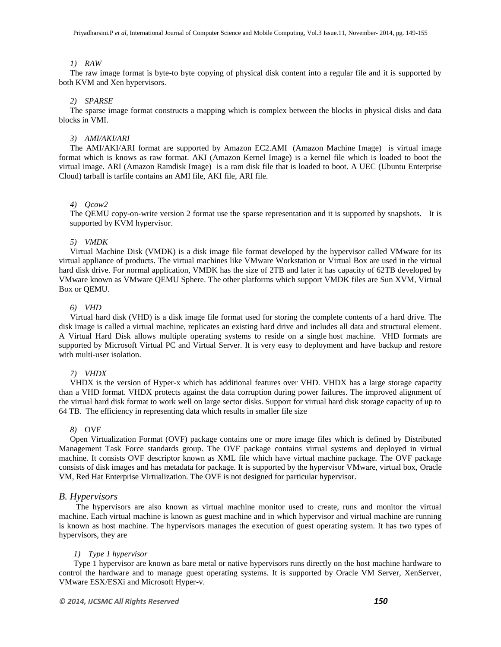# *1) RAW*

The raw image format is byte-to byte copying of physical disk content into a regular file and it is supported by both KVM and Xen hypervisors.

#### *2) SPARSE*

The sparse image format constructs a mapping which is complex between the blocks in physical disks and data blocks in VMI.

# *3) AMI/AKI/ARI*

The AMI/AKI/ARI format are supported by Amazon EC2.AMI (Amazon Machine Image) is virtual image format which is knows as raw format. AKI (Amazon Kernel Image) is a kernel file which is loaded to boot the virtual image. ARI (Amazon Ramdisk Image) is a ram disk file that is loaded to boot. A UEC (Ubuntu Enterprise Cloud) tarball is tarfile contains an AMI file, AKI file, ARI file.

#### *4) Qcow2*

The QEMU copy-on-write version 2 format use the sparse representation and it is supported by snapshots. It is supported by KVM hypervisor.

#### *5) VMDK*

Virtual Machine Disk (VMDK) is a disk image file format developed by the hypervisor called VMware for its virtual appliance of products. The virtual machines like VMware Workstation or Virtual Box are used in the virtual hard disk drive. For normal application, VMDK has the size of 2TB and later it has capacity of 62TB developed by VMware known as [VMware QEMU](http://en.wikipedia.org/wiki/VMware_vSphere) Sphere. The other platforms which support VMDK files are Sun XVM, Virtual Box or QEMU.

#### *6) VHD*

Virtual hard disk (VHD) is a disk image file format used for storing the complete contents of a hard drive. The disk image is called a virtual machine, replicates an existing hard drive and includes all data and structural element. A Virtual Hard Disk allows multiple operating systems to reside on a single [host machine.](http://en.wikipedia.org/wiki/Hypervisor) VHD formats are supported by Microsoft Virtual PC and Virtual Server. It is very easy to deployment and have backup and restore with multi-user isolation.

# *7) VHDX*

VHDX is the version of Hyper-x which has additional features over VHD. VHDX has a large storage capacity than a VHD format. VHDX protects against the data corruption during power failures. The improved alignment of the virtual hard disk format to work well on large sector disks. Support for virtual hard disk storage capacity of up to 64 TB. The efficiency in representing data which results in smaller file size

#### *8)* OVF

Open Virtualization Format (OVF) package contains one or more image files which is defined by Distributed Management Task Force standards group. The OVF package contains virtual systems and deployed in virtual machine. It consists OVF descriptor known as XML file which have virtual machine package. The OVF package consists of disk images and has metadata for package. It is supported by the hypervisor VMware, virtual box, [Oracle](http://en.wikipedia.org/wiki/Oracle_VM)  [VM,](http://en.wikipedia.org/wiki/Oracle_VM) [Red Hat](http://en.wikipedia.org/wiki/Red_Hat) Enterprise Virtualization. The OVF is not designed for particular hypervisor.

#### *B. Hypervisors*

The hypervisors are also known as virtual machine monitor used to create, runs and monitor the virtual machine. Each virtual machine is known as guest machine and in which hypervisor and virtual machine are running is known as host machine. The hypervisors manages the execution of guest operating system. It has two types of hypervisors, they are

#### *1) Type 1 hypervisor*

Type 1 hypervisor are known as bare metal or native hypervisors runs directly on the host machine hardware to control the hardware and to manage guest operating systems. It is supported by Oracle VM Server, XenServer, VMware ESX/ESXi and Microsoft Hyper-v.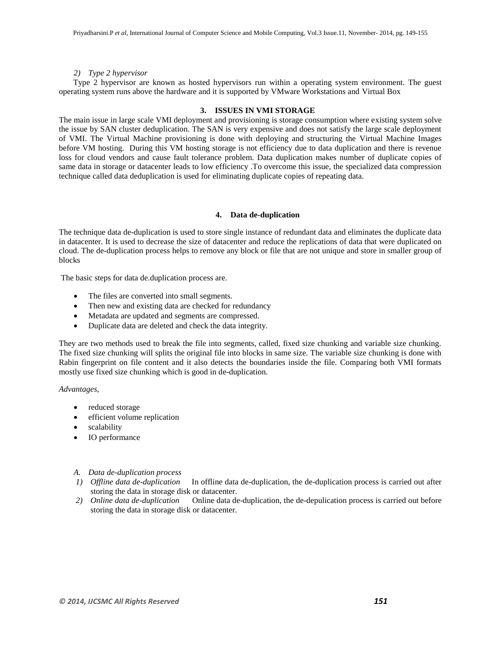# *2) Type 2 hypervisor*

 Type 2 hypervisor are known as hosted hypervisors run within a operating system environment. The guest operating system runs above the hardware and it is supported by VMware Workstations and Virtual Box

# **3. ISSUES IN VMI STORAGE**

The main issue in large scale VMI deployment and provisioning is storage consumption where existing system solve the issue by SAN cluster deduplication. The SAN is very expensive and does not satisfy the large scale deployment of VMI. The Virtual Machine provisioning is done with deploying and structuring the Virtual Machine Images before VM hosting. During this VM hosting storage is not efficiency due to data duplication and there is revenue loss for cloud vendors and cause fault tolerance problem. Data duplication makes number of duplicate copies of same data in storage or datacenter leads to low efficiency .To overcome this issue, the specialized data compression technique called data deduplication is used for eliminating duplicate copies of repeating data.

# **4. Data de-duplication**

The technique data de-duplication is used to store single instance of redundant data and eliminates the duplicate data in datacenter. It is used to decrease the size of datacenter and reduce the replications of data that were duplicated on cloud. The de-duplication process helps to remove any block or file that are not unique and store in smaller group of blocks

The basic steps for data de.duplication process are.

- The files are converted into small segments.
- Then new and existing data are checked for redundancy
- Metadata are updated and segments are compressed.
- Duplicate data are deleted and check the data integrity.

They are two methods used to break the file into segments, called, fixed size chunking and variable size chunking. The fixed size chunking will splits the original file into blocks in same size. The variable size chunking is done with Rabin fingerprint on file content and it also detects the boundaries inside the file. Comparing both VMI formats mostly use fixed size chunking which is good in de-duplication.

## *Advantages*,

- reduced storage
- efficient volume replication
- scalability
- IO performance

## *A. Data de-duplication process*

- *1) Offline data de-duplication* In offline data de-duplication, the de-duplication process is carried out after storing the data in storage disk or datacenter.
- *2) Online data de-duplication* Online data de-duplication, the de-depulication process is carried out before storing the data in storage disk or datacenter.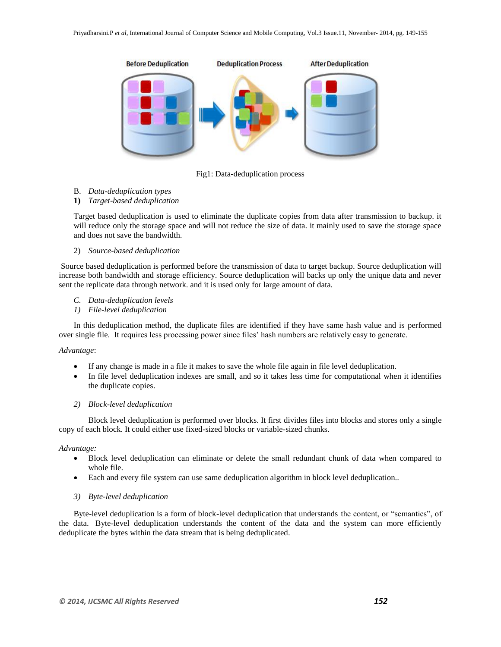

Fig1: Data-deduplication process

- B. *Data-deduplication types*
- **1)** *Target-based deduplication*

Target based deduplication is used to eliminate the duplicate copies from data after transmission to backup. it will reduce only the storage space and will not reduce the size of data. it mainly used to save the storage space and does not save the bandwidth.

2) *Source-based deduplication*

Source based deduplication is performed before the transmission of data to target backup. Source deduplication will increase both bandwidth and storage efficiency. Source deduplication will backs up only the unique data and never sent the replicate data through network. and it is used only for large amount of data.

- *C. Data-deduplication levels*
- *1) File-level deduplication*

In this deduplication method, the duplicate files are identified if they have same hash value and is performed over single file. It requires less processing power since files" hash numbers are relatively easy to generate.

# *Advantage*:

- If any change is made in a file it makes to save the whole file again in file level deduplication.
- In file level deduplication indexes are small, and so it takes less time for computational when it identifies the duplicate copies.

# *2) Block-level deduplication*

Block level deduplication is performed over blocks. It first divides files into blocks and stores only a single copy of each block. It could either use fixed-sized blocks or variable-sized chunks.

## *Advantage:*

- Block level deduplication can eliminate or delete the small redundant chunk of data when compared to whole file.
- Each and every file system can use same deduplication algorithm in block level deduplication..
- *3) Byte-level deduplication*

Byte-level deduplication is a form of block-level deduplication that understands the content, or "semantics", of the data. Byte-level deduplication understands the content of the data and the system can more efficiently deduplicate the bytes within the data stream that is being deduplicated.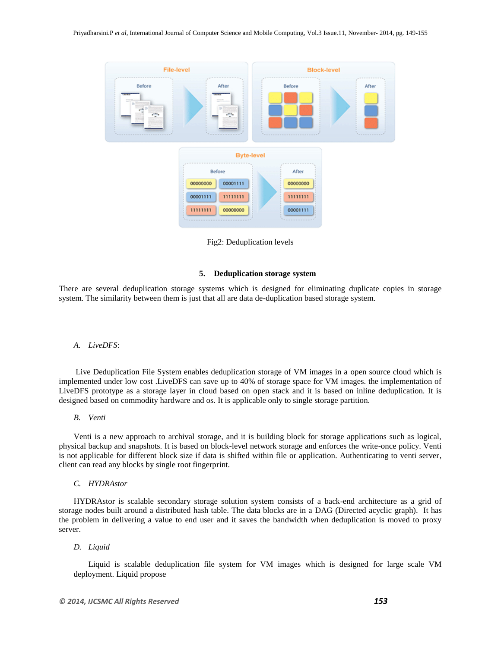

Fig2: Deduplication levels

#### **5. Deduplication storage system**

There are several deduplication storage systems which is designed for eliminating duplicate copies in storage system. The similarity between them is just that all are data de-duplication based storage system.

#### *A. LiveDFS*:

Live Deduplication File System enables deduplication storage of VM images in a open source cloud which is implemented under low cost .LiveDFS can save up to 40% of storage space for VM images. the implementation of LiveDFS prototype as a storage layer in cloud based on open stack and it is based on inline deduplication. It is designed based on commodity hardware and os. It is applicable only to single storage partition.

#### *B. Venti*

Venti is a new approach to archival storage, and it is building block for storage applications such as logical, physical backup and snapshots. It is based on block-level network storage and enforces the write-once policy. Venti is not applicable for different block size if data is shifted within file or application. Authenticating to venti server, client can read any blocks by single root fingerprint.

#### *C. HYDRAstor*

HYDRAstor is scalable secondary storage solution system consists of a back-end architecture as a grid of storage nodes built around a distributed hash table. The data blocks are in a DAG (Directed acyclic graph). It has the problem in delivering a value to end user and it saves the bandwidth when deduplication is moved to proxy server.

#### *D. Liquid*

Liquid is scalable deduplication file system for VM images which is designed for large scale VM deployment. Liquid propose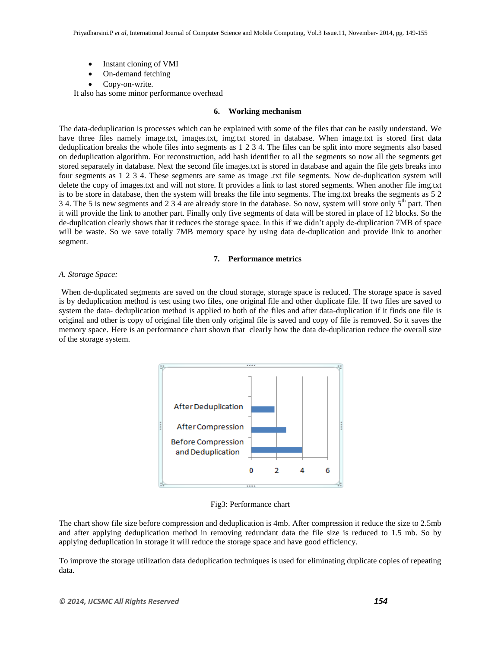- Instant cloning of VMI
- On-demand fetching
- Copy-on-write.

It also has some minor performance overhead

#### **6. Working mechanism**

The data-deduplication is processes which can be explained with some of the files that can be easily understand. We have three files namely image.txt, images.txt, img.txt stored in database. When image.txt is stored first data deduplication breaks the whole files into segments as 1 2 3 4. The files can be split into more segments also based on deduplication algorithm. For reconstruction, add hash identifier to all the segments so now all the segments get stored separately in database. Next the second file images.txt is stored in database and again the file gets breaks into four segments as 1 2 3 4. These segments are same as image .txt file segments. Now de-duplication system will delete the copy of images.txt and will not store. It provides a link to last stored segments. When another file img.txt is to be store in database, then the system will breaks the file into segments. The img.txt breaks the segments as 5 2 3 4. The 5 is new segments and 2 3 4 are already store in the database. So now, system will store only  $5<sup>th</sup>$  part. Then it will provide the link to another part. Finally only five segments of data will be stored in place of 12 blocks. So the de-duplication clearly shows that it reduces the storage space. In this if we didn"t apply de-duplication 7MB of space will be waste. So we save totally 7MB memory space by using data de-duplication and provide link to another segment.

#### **7. Performance metrics**

## *A. Storage Space:*

When de-duplicated segments are saved on the cloud storage, storage space is reduced. The storage space is saved is by deduplication method is test using two files, one original file and other duplicate file. If two files are saved to system the data- deduplication method is applied to both of the files and after data-duplication if it finds one file is original and other is copy of original file then only original file is saved and copy of file is removed. So it saves the memory space. Here is an performance chart shown that clearly how the data de-duplication reduce the overall size of the storage system.



Fig3: Performance chart

The chart show file size before compression and deduplication is 4mb. After compression it reduce the size to 2.5mb and after applying deduplication method in removing redundant data the file size is reduced to 1.5 mb. So by applying deduplication in storage it will reduce the storage space and have good efficiency.

To improve the storage utilization data deduplication techniques is used for eliminating duplicate copies of repeating data.